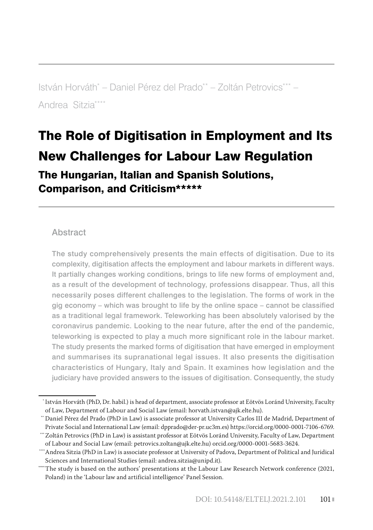István Horváth\*  [– Daniel Pérez del Prado\\*\\* – Zoltán Petrovics\\*\\*\\* –](#page--1-0)  [Andrea Sitzia\\*\\*\\*\\*](#page--1-0)

# [The Role of Digitisation in Employment and Its](#page--1-0)  [New Challenges for Labour Law Regulation](#page--1-0)

[The Hungarian, Italian and Spanish Solutions,](#page--1-0)  Comparison, and Criticism\*\*\*\*\*\*

#### **Abstract**

The study comprehensively presents the main effects of digitisation. Due to its complexity, digitisation affects the employment and labour markets in different ways. It partially changes working conditions, brings to life new forms of employment and, as a result of the development of technology, professions disappear. Thus, all this necessarily poses different challenges to the legislation. The forms of work in the gig economy – which was brought to life by the online space – cannot be classified as a traditional legal framework. Teleworking has been absolutely valorised by the coronavirus pandemic. Looking to the near future, after the end of the pandemic, teleworking is expected to play a much more significant role in the labour market. The study presents the marked forms of digitisation that have emerged in employment and summarises its supranational legal issues. It also presents the digitisation characteristics of Hungary, Italy and Spain. It examines how legislation and the judiciary have provided answers to the issues of digitisation. Consequently, the study

 <sup>\*</sup> István Horváth (PhD, Dr. habil.) is head of department, associate professor at Eötvös Loránd University, Faculty of Law, Department of Labour and Social Law (email: horvath.istvan@ajk.elte.hu).

 <sup>\*\*</sup> Daniel Pérez del Prado (PhD in Law) is associate professor at University Carlos III de Madrid, Department of Private Social and International Law (email: dpprado@der-pr.uc3m.es) https://orcid.org/0000-0001-7106-6769.

 <sup>\*\*\*</sup>Zoltán Petrovics (PhD in Law) is assistant professor at Eötvös Loránd University, Faculty of Law, Department of Labour and Social Law (email: petrovics.zoltan@ajk.elte.hu) orcid.org/0000-0001-5683-3624.

<sup>\*</sup>Andrea Sitzia (PhD in Law) is associate professor at University of Padova, Department of Political and Juridical Sciences and International Studies (email: andrea.sitzia@unipd.it).

<sup>\*\*\*\*\*</sup>The study is based on the authors' presentations at the Labour Law Research Network conference (2021, Poland) in the 'Labour law and artificial intelligence' Panel Session.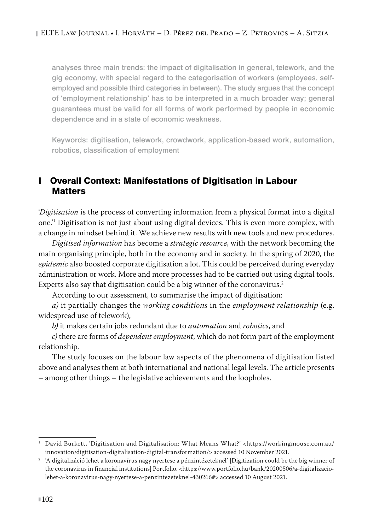analyses three main trends: the impact of digitalisation in general, telework, and the gig economy, with special regard to the categorisation of workers (employees, selfemployed and possible third categories in between). The study argues that the concept of 'employment relationship' has to be interpreted in a much broader way; general guarantees must be valid for all forms of work performed by people in economic dependence and in a state of economic weakness.

Keywords: digitisation, telework, crowdwork, application-based work, automation, robotics, classification of employment

# I Overall Context: Manifestations of Digitisation in Labour **Matters**

'*Digitisation* is the process of converting information from a physical format into a digital one.'1 Digitisation is not just about using digital devices. This is even more complex, with a change in mindset behind it. We achieve new results with new tools and new procedures.

*Digitised information* has become a *strategic resource*, with the network becoming the main organising principle, both in the economy and in society. In the spring of 2020, the *epidemic* also boosted corporate digitisation a lot. This could be perceived during everyday administration or work. More and more processes had to be carried out using digital tools. Experts also say that digitisation could be a big winner of the coronavirus.<sup>2</sup>

According to our assessment, to summarise the impact of digitisation:

*a)* it partially changes the *working conditions* in the *employment relationship* (e.g. widespread use of telework),

*b)* it makes certain jobs redundant due to *automation* and *robotics*, and

*c)* there are forms of *dependent employment*, which do not form part of the employment relationship.

The study focuses on the labour law aspects of the phenomena of digitisation listed above and analyses them at both international and national legal levels. The article presents – among other things – the legislative achievements and the loopholes.

<sup>1</sup> David Burkett, 'Digitisation and Digitalisation: What Means What?' <https://workingmouse.com.au/ innovation/digitisation-digitalisation-digital-transformation/> accessed 10 November 2021.

<sup>2</sup> 'A digitalizáció lehet a koronavírus nagy nyertese a pénzintézeteknél' [Digitization could be the big winner of the coronavirus in financial institutions] Portfolio. <https://www.portfolio.hu/bank/20200506/a-digitalizaciolehet-a-koronavirus-nagy-nyertese-a-penzintezeteknel-430266#> accessed 10 August 2021.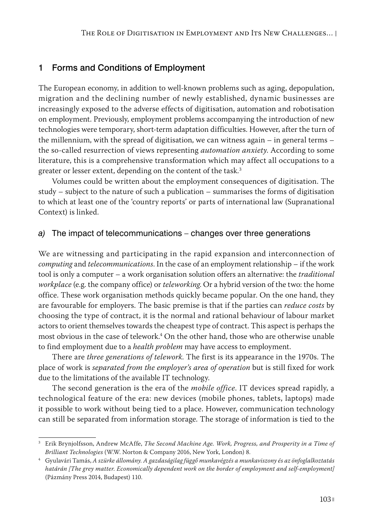# 1 Forms and Conditions of Employment

The European economy, in addition to well-known problems such as aging, depopulation, migration and the declining number of newly established, dynamic businesses are increasingly exposed to the adverse effects of digitisation, automation and robotisation on employment. Previously, employment problems accompanying the introduction of new technologies were temporary, short-term adaptation difficulties. However, after the turn of the millennium, with the spread of digitisation, we can witness again – in general terms – the so-called resurrection of views representing *automation anxiety*. According to some literature, this is a comprehensive transformation which may affect all occupations to a greater or lesser extent, depending on the content of the task.<sup>3</sup>

Volumes could be written about the employment consequences of digitisation. The study – subject to the nature of such a publication – summarises the forms of digitisation to which at least one of the 'country reports' or parts of international law (Supranational Context) is linked.

#### *a)* The impact of telecommunications – changes over three generations

We are witnessing and participating in the rapid expansion and interconnection of *computing* and *telecommunications*. In the case of an employment relationship – if the work tool is only a computer – a work organisation solution offers an alternative: the *traditional workplace* (e.g. the company office) or *teleworking*. Or a hybrid version of the two: the home office. These work organisation methods quickly became popular. On the one hand, they are favourable for employers. The basic premise is that if the parties can *reduce costs* by choosing the type of contract, it is the normal and rational behaviour of labour market actors to orient themselves towards the cheapest type of contract. This aspect is perhaps the most obvious in the case of telework.4 On the other hand, those who are otherwise unable to find employment due to a *health problem* may have access to employment.

There are *three generations of telework*. The first is its appearance in the 1970s. The place of work is *separated from the employer's area of operation* but is still fixed for work due to the limitations of the available IT technology.

The second generation is the era of the *mobile office*. IT devices spread rapidly, a technological feature of the era: new devices (mobile phones, tablets, laptops) made it possible to work without being tied to a place. However, communication technology can still be separated from information storage. The storage of information is tied to the

<sup>3</sup> Erik Brynjolfsson, Andrew McAffe, *The Second Machine Age. Work, Progress, and Prosperity in a Time of Brilliant Technologies* (W.W. Norton & Company 2016, New York, London) 8.

<sup>4</sup> Gyulavári Tamás, *A szürke állomány. A gazdaságilag függő munkavégzés a munkaviszony és az önfoglalkoztatás határán [The grey matter. Economically dependent work on the border of employment and self-employment]*  (Pázmány Press 2014, Budapest) 110.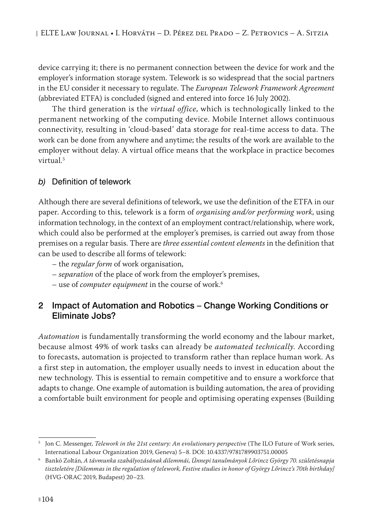device carrying it; there is no permanent connection between the device for work and the employer's information storage system. Telework is so widespread that the social partners in the EU consider it necessary to regulate. The *European Telework Framework Agreement* (abbreviated ETFA) is concluded (signed and entered into force 16 July 2002).

The third generation is the *virtual office*, which is technologically linked to the permanent networking of the computing device. Mobile Internet allows continuous connectivity, resulting in 'cloud-based' data storage for real-time access to data. The work can be done from anywhere and anytime; the results of the work are available to the employer without delay. A virtual office means that the workplace in practice becomes virtual.<sup>5</sup>

#### *b)* Definition of telework

Although there are several definitions of telework, we use the definition of the ETFA in our paper. According to this, telework is a form of *organising and/or performing work*, using information technology, in the context of an employment contract/relationship, where work, which could also be performed at the employer's premises, is carried out away from those premises on a regular basis. There are *three essential content elements* in the definition that can be used to describe all forms of telework:

- the *regular form* of work organisation,
- *separation* of the place of work from the employer's premises,
- use of *computer equipment* in the course of work.6

#### 2 Impact of Automation and Robotics – Change Working Conditions or Eliminate Jobs?

*Automation* is fundamentally transforming the world economy and the labour market, because almost 49% of work tasks can already be *automated technically*. According to forecasts, automation is projected to transform rather than replace human work. As a first step in automation, the employer usually needs to invest in education about the new technology. This is essential to remain competitive and to ensure a workforce that adapts to change. One example of automation is building automation, the area of providing a comfortable built environment for people and optimising operating expenses (Building

<sup>5</sup> Jon C. Messenger, *Telework in the 21st century: An evolutionary perspective* (The ILO Future of Work series, International Labour Organization 2019, Geneva) 5–8. DOI: 10.4337/9781789903751.00005

<sup>6</sup> Bankó Zoltán, *A távmunka szabályozásának dilemmái, Ünnepi tanulmányok Lőrincz György 70. születésnapja tiszteletére [Dilemmas in the regulation of telework, Festive studies in honor of György Lőrincz's 70th birthday]* (HVG-ORAC 2019, Budapest) 20–23.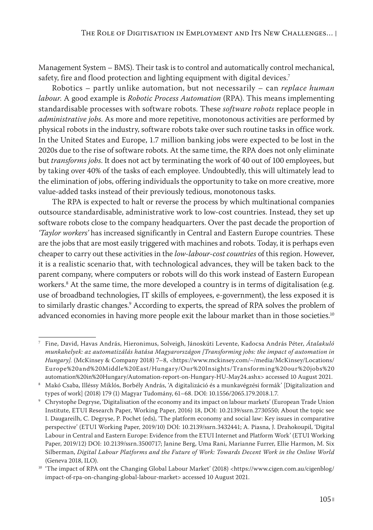Management System – BMS). Their task is to control and automatically control mechanical, safety, fire and flood protection and lighting equipment with digital devices.<sup>7</sup>

Robotics – partly unlike automation, but not necessarily – can *replace human labour*. A good example is *Robotic Process Automation* (RPA). This means implementing standardisable processes with software robots. These *software robots* replace people in *administrative jobs*. As more and more repetitive, monotonous activities are performed by physical robots in the industry, software robots take over such routine tasks in office work. In the United States and Europe, 1.7 million banking jobs were expected to be lost in the 2020s due to the rise of software robots. At the same time, the RPA does not only eliminate but *transforms jobs*. It does not act by terminating the work of 40 out of 100 employees, but by taking over 40% of the tasks of each employee. Undoubtedly, this will ultimately lead to the elimination of jobs, offering individuals the opportunity to take on more creative, more value-added tasks instead of their previously tedious, monotonous tasks.

The RPA is expected to halt or reverse the process by which multinational companies outsource standardisable, administrative work to low-cost countries. Instead, they set up software robots close to the company headquarters. Over the past decade the proportion of *'Taylor workers'* has increased significantly in Central and Eastern Europe countries. These are the jobs that are most easily triggered with machines and robots. Today, it is perhaps even cheaper to carry out these activities in the *low-labour-cost countries* of this region. However, it is a realistic scenario that, with technological advances, they will be taken back to the parent company, where computers or robots will do this work instead of Eastern European workers.8 At the same time, the more developed a country is in terms of digitalisation (e.g. use of broadband technologies, IT skills of employees, e-government), the less exposed it is to similarly drastic changes.<sup>9</sup> According to experts, the spread of RPA solves the problem of advanced economies in having more people exit the labour market than in those societies.<sup>10</sup>

<sup>7</sup> Fine, David, Havas András, Hieronimus, Solveigh, Jánoskúti Levente, Kadocsa András Péter, *Átalakuló munkahelyek: az automatizálás hatása Magyarországon [Transforming jobs: the impact of automation in Hungary].* (McKinsey & Company 2018) 7–8, <https://www.mckinsey.com/~/media/McKinsey/Locations/ Europe%20and%20Middle%20East/Hungary/Our%20Insights/Transforming%20our%20jobs%20 automation%20in%20Hungary/Automation-report-on-Hungary-HU-May24.ashx> accessed 10 August 2021.

<sup>8</sup> Makó Csaba, Illéssy Miklós, Borbély András, 'A digitalizáció és a munkavégzési formák' [Digitalization and types of work] (2018) 179 (1) Magyar Tudomány, 61–68. DOI: 10.1556/2065.179.2018.1.7.

<sup>9</sup> Chrystophe Degryse, 'Digitalisation of the economy and its impact on labour markets' (European Trade Union Institute, ETUI Research Paper, Working Paper, 2016) 18, DOI: 10.2139/ssrn.2730550; About the topic see I. Daugareilh, C. Degryse, P. Pochet (eds), 'The platform economy and social law: Key issues in comparative perspective' (ETUI Working Paper, 2019/10) DOI: 10.2139/ssrn.3432441; A. Piasna, J. Drahokoupil, 'Digital Labour in Central and Eastern Europe: Evidence from the ETUI Internet and Platform Work' (ETUI Working Paper, 2019/12) DOI: 10.2139/ssrn.3500717; Janine Berg, Uma Rani, Marianne Furrer, Ellie Harmon, M. Six Silberman, *Digital Labour Platforms and the Future of Work: Towards Decent Work in the Online World* (Geneva 2018, ILO).

<sup>&</sup>lt;sup>10</sup> 'The impact of RPA ont the Changing Global Labour Market' (2018) <https://www.cigen.com.au/cigenblog/ impact-of-rpa-on-changing-global-labour-market> accessed 10 August 2021.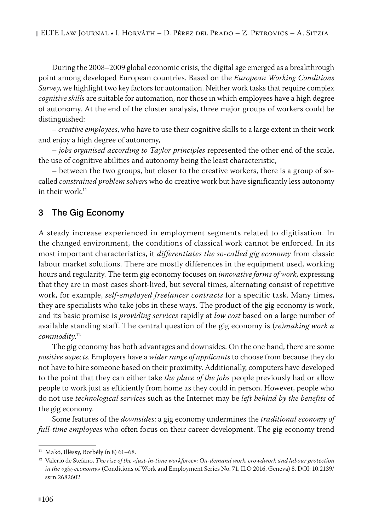During the 2008–2009 global economic crisis, the digital age emerged as a breakthrough point among developed European countries. Based on the *European Working Conditions Survey*, we highlight two key factors for automation. Neither work tasks that require complex *cognitive skills* are suitable for automation, nor those in which employees have a high degree of autonomy. At the end of the cluster analysis, three major groups of workers could be distinguished:

– *creative employees*, who have to use their cognitive skills to a large extent in their work and enjoy a high degree of autonomy,

– *jobs organised according to Taylor principles* represented the other end of the scale, the use of cognitive abilities and autonomy being the least characteristic,

– between the two groups, but closer to the creative workers, there is a group of socalled *constrained problem solvers* who do creative work but have significantly less autonomy in their work. $11$ 

# 3 The Gig Economy

A steady increase experienced in employment segments related to digitisation. In the changed environment, the conditions of classical work cannot be enforced. In its most important characteristics, it *differentiates the so-called gig economy* from classic labour market solutions. There are mostly differences in the equipment used, working hours and regularity. The term gig economy focuses on *innovative forms of work*, expressing that they are in most cases short-lived, but several times, alternating consist of repetitive work, for example, *self-employed freelancer contracts* for a specific task. Many times, they are specialists who take jobs in these ways. The product of the gig economy is work, and its basic promise is *providing services* rapidly at *low cost* based on a large number of available standing staff. The central question of the gig economy is (*re)making work a commodity*. 12

The gig economy has both advantages and downsides. On the one hand, there are some *positive aspects*. Employers have a *wider range of applicants* to choose from because they do not have to hire someone based on their proximity. Additionally, computers have developed to the point that they can either take *the place of the jobs* people previously had or allow people to work just as efficiently from home as they could in person. However, people who do not use *technological services* such as the Internet may be *left behind by the benefits* of the gig economy.

Some features of the *downsides*: a gig economy undermines the *traditional economy of full-time employees* who often focus on their career development. The gig economy trend

 $11$  Makó, Illéssy, Borbély (n 8) 61-68.

<sup>12</sup> Valerio de Stefano, *The rise of the «just-in-time workforce»: On-demand work, crowdwork and labour protection in the «gig-economy»* (Conditions of Work and Employment Series No. 71, ILO 2016, Geneva) 8. DOI: 10.2139/ ssrn.2682602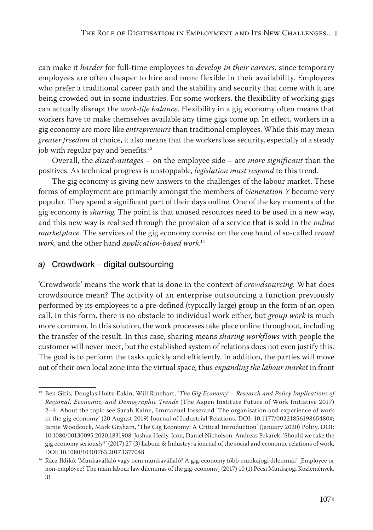can make it *harder* for full-time employees to *develop in their careers,* since temporary employees are often cheaper to hire and more flexible in their availability. Employees who prefer a traditional career path and the stability and security that come with it are being crowded out in some industries. For some workers, the flexibility of working gigs can actually disrupt the *work-life balance*. Flexibility in a gig economy often means that workers have to make themselves available any time gigs come up. In effect, workers in a gig economy are more like *entrepreneurs* than traditional employees. While this may mean *greater freedom* of choice, it also means that the workers lose security, especially of a steady job with regular pay and benefits.<sup>13</sup>

Overall, the *disadvantages* – on the employee side – are *more significant* than the positives. As technical progress is unstoppable, *legislation must respond* to this trend.

The gig economy is giving new answers to the challenges of the labour market. These forms of employment are primarily amongst the members of *Generation Y* become very popular. They spend a significant part of their days online. One of the key moments of the gig economy is *sharing*. The point is that unused resources need to be used in a new way, and this new way is realised through the provision of a service that is sold in the *online marketplace*. The services of the gig economy consist on the one hand of so-called *crowd work*, and the other hand *application-based work*. 14

# *a)* Crowdwork – digital outsourcing

'Crowdwork' means the work that is done in the context of *crowdsourcing*. What does crowdsource mean? The activity of an enterprise outsourcing a function previously performed by its employees to a pre-defined (typically large) group in the form of an open call. In this form, there is no obstacle to individual work either, but *group work* is much more common. In this solution, the work processes take place online throughout, including the transfer of the result. In this case, sharing means *sharing workflows* with people the customer will never meet, but the established system of relations does not even justify this. The goal is to perform the tasks quickly and efficiently. In addition, the parties will move out of their own local zone into the virtual space, thus *expanding the labour market* in front

<sup>13</sup> Ben Gitis, Douglas Holtz-Eakin, Will Rinehart, *'The Gig Economy' – Research and Policy Implications of Regional, Economic, and Demographic Trends* (The Aspen Institute Future of Work Initiative 2017) 2–4. About the topic see Sarah Kaine, Emmanuel Josserand 'The organisation and experience of work in the gig economy' (20 August 2019) Journal of Industrial Relations, DOI: 10.1177/0022185619865480#; Jamie Woodcock, Mark Graham, 'The Gig Economy: A Critical Introduction' (January 2020) Polity, DOI: 10.1080/00130095.2020.1831908; Joshua Healy, Icon, Daniel Nicholson, Andreas Pekarek, 'Should we take the gig economy seriously?' (2017) 27 (3) Labour & Industry: a journal of the social and economic relations of work, DOI: 10.1080/10301763.2017.1377048.

<sup>14</sup> Rácz Ildikó, 'Munkavállaló vagy nem munkavállaló? A gig-economy főbb munkajogi dilemmái' [Employee or non-employee? The main labour law dilemmas of the gig-economy] (2017) 10 (1) Pécsi Munkajogi Közlemények, 31.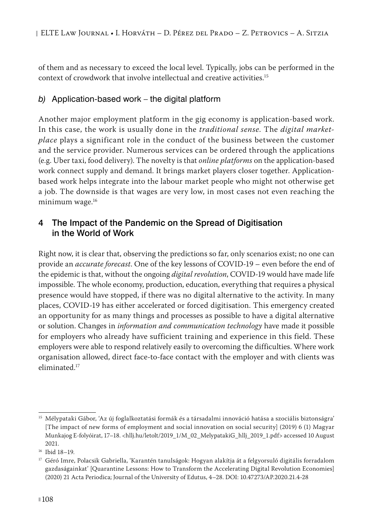of them and as necessary to exceed the local level. Typically, jobs can be performed in the context of crowdwork that involve intellectual and creative activities.15

#### *b)* Application-based work – the digital platform

Another major employment platform in the gig economy is application-based work. In this case, the work is usually done in the *traditional sense*. The *digital market‑ place* plays a significant role in the conduct of the business between the customer and the service provider. Numerous services can be ordered through the applications (e.g. Uber taxi, food delivery). The novelty is that *online platforms* on the application-based work connect supply and demand. It brings market players closer together. Applicationbased work helps integrate into the labour market people who might not otherwise get a job. The downside is that wages are very low, in most cases not even reaching the minimum wage.<sup>16</sup>

# 4 The Impact of the Pandemic on the Spread of Digitisation in the World of Work

Right now, it is clear that, observing the predictions so far, only scenarios exist; no one can provide an *accurate forecast*. One of the key lessons of COVID-19 – even before the end of the epidemic is that, without the ongoing *digital revolution*, COVID-19 would have made life impossible. The whole economy, production, education, everything that requires a physical presence would have stopped, if there was no digital alternative to the activity. In many places, COVID-19 has either accelerated or forced digitisation. This emergency created an opportunity for as many things and processes as possible to have a digital alternative or solution. Changes in *information and communication technology* have made it possible for employers who already have sufficient training and experience in this field. These employers were able to respond relatively easily to overcoming the difficulties. Where work organisation allowed, direct face-to-face contact with the employer and with clients was eliminated.17

<sup>&</sup>lt;sup>15</sup> Mélypataki Gábor, 'Az új foglalkoztatási formák és a társadalmi innováció hatása a szociális biztonságra' [The impact of new forms of employment and social innovation on social security] (2019) 6 (1) Magyar Munkajog E-folyóirat, 17–18. <hllj.hu/letolt/2019\_1/M\_02\_MelypatakiG\_hllj\_2019\_1.pdf> accessed 10 August 2021.

<sup>16</sup> Ibid 18–19.

 $^{17}$  Géró Imre, Polacsik Gabriella, 'Karantén tanulságok: Hogyan alakítja át a felgyorsuló digitális forradalom gazdaságainkat' [Quarantine Lessons: How to Transform the Accelerating Digital Revolution Economies] (2020) 21 Acta Periodica; Journal of the University of Edutus, 4–28. DOI: 10.47273/AP.2020.21.4-28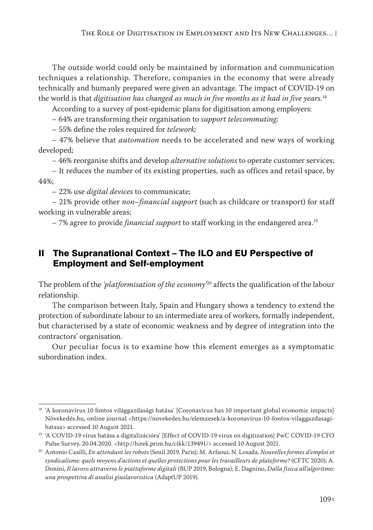The outside world could only be maintained by information and communication techniques a relationship. Therefore, companies in the economy that were already technically and humanly prepared were given an advantage. The impact of COVID-19 on the world is that *digitisation has changed as much in five months as it had in five years.*<sup>18</sup>

According to a survey of post-epidemic plans for digitisation among employers:

– 64% are transforming their organisation to *support telecommuting;*

– 55% define the roles required for *telework;*

– 47% believe that *automation* needs to be accelerated and new ways of working developed;

– 46% reorganise shifts and develop *alternative solutions* to operate customer services;

– It reduces the number of its existing properties, such as offices and retail space, by 44%;

– 22% use *digital devices* to communicate;

– 21% provide other *non–financial support* (such as childcare or transport) for staff working in vulnerable areas;

– 7% agree to provide *financial support* to staff working in the endangered area.19

# II The Supranational Context – The ILO and EU Perspective of Employment and Self-employment

The problem of the *'platformisation of the economy'*20 affects the qualification of the labour relationship.

The comparison between Italy, Spain and Hungary shows a tendency to extend the protection of subordinate labour to an intermediate area of workers, formally independent, but characterised by a state of economic weakness and by degree of integration into the contractors' organisation.

Our peculiar focus is to examine how this element emerges as a symptomatic subordination index.

<sup>18</sup> 'A koronavírus 10 fontos világgazdasági hatása' [Coronavirus has 10 important global economic impacts] Növekedés.hu, online journal <https://novekedes.hu/elemzesek/a-koronavirus-10-fontos-vilaggazdasagihatasa> accessed 10 August 2021.

<sup>&</sup>lt;sup>19</sup> 'A COVID-19 vírus hatása a digitalizációra' [Effect of COVID-19 virus on digitization] PwC COVID-19 CFO Pulse Survey, 20.04.2020. <http://hirek.prim.hu/cikk/139491/> accessed 10 August 2021.

<sup>20</sup> Antonio Casilli, *En attendant les robots* (Seuil 2019, Paris); M. Arfaoui, N. Losada, *Nouvelles formes d'emploi et syndicalisme: quels moyens d'actions et quelles protections pour les travailleurs de plateforme?* (CFTC 2020); A. Donini, *Il lavoro attraverso le piattaforme digitali* (BUP 2019, Bologna); E. Dagnino, *Dalla fisica all'algoritmo: una prospettiva di analisi giuslavoristica* (AdaptUP 2019).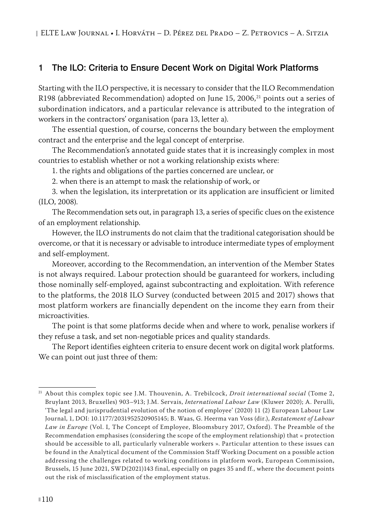# 1 The ILO: Criteria to Ensure Decent Work on Digital Work Platforms

Starting with the ILO perspective, it is necessary to consider that the ILO Recommendation R198 (abbreviated Recommendation) adopted on June 15, 2006,21 points out a series of subordination indicators, and a particular relevance is attributed to the integration of workers in the contractors' organisation (para 13, letter a).

The essential question, of course, concerns the boundary between the employment contract and the enterprise and the legal concept of enterprise.

The Recommendation's annotated guide states that it is increasingly complex in most countries to establish whether or not a working relationship exists where:

1. the rights and obligations of the parties concerned are unclear, or

2. when there is an attempt to mask the relationship of work, or

3. when the legislation, its interpretation or its application are insufficient or limited (ILO, 2008).

The Recommendation sets out, in paragraph 13, a series of specific clues on the existence of an employment relationship.

However, the ILO instruments do not claim that the traditional categorisation should be overcome, or that it is necessary or advisable to introduce intermediate types of employment and self-employment.

Moreover, according to the Recommendation, an intervention of the Member States is not always required. Labour protection should be guaranteed for workers, including those nominally self-employed, against subcontracting and exploitation. With reference to the platforms, the 2018 ILO Survey (conducted between 2015 and 2017) shows that most platform workers are financially dependent on the income they earn from their microactivities.

The point is that some platforms decide when and where to work, penalise workers if they refuse a task, and set non-negotiable prices and quality standards.

The Report identifies eighteen criteria to ensure decent work on digital work platforms. We can point out just three of them:

<sup>21</sup> About this complex topic see J.M. Thouvenin, A. Trebilcock, *Droit international social* (Tome 2, Bruylant 2013, Bruxelles) 903–913; J.M. Servais, *International Labour Law* (Kluwer 2020); A. Perulli, 'The legal and jurisprudential evolution of the notion of employee' (2020) 11 (2) European Labour Law Journal, 1, DOI: 10.1177/2031952520905145; B. Waas, G. Heerma van Voss (dir.), *Restatement of Labour Law in Europe* (Vol. I, The Concept of Employee, Bloomsbury 2017, Oxford). The Preamble of the Recommendation emphasises (considering the scope of the employment relationship) that « protection should be accessible to all, particularly vulnerable workers ». Particular attention to these issues can be found in the Analytical document of the Commission Staff Working Document on a possible action addressing the challenges related to working conditions in platform work, European Commission, Brussels, 15 June 2021, SWD(2021)143 final, especially on pages 35 and ff., where the document points out the risk of misclassification of the employment status.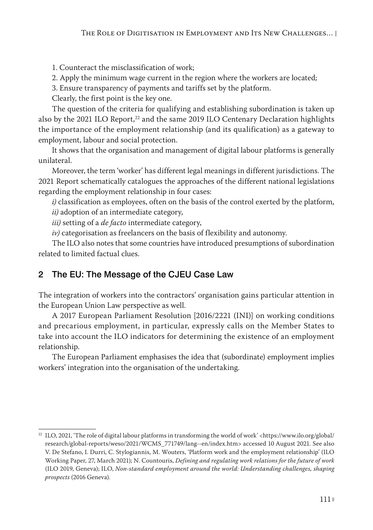1. Counteract the misclassification of work;

2. Apply the minimum wage current in the region where the workers are located;

3. Ensure transparency of payments and tariffs set by the platform.

Clearly, the first point is the key one.

The question of the criteria for qualifying and establishing subordination is taken up also by the 2021 ILO Report, $^{22}$  and the same 2019 ILO Centenary Declaration highlights the importance of the employment relationship (and its qualification) as a gateway to employment, labour and social protection.

It shows that the organisation and management of digital labour platforms is generally unilateral.

Moreover, the term 'worker' has different legal meanings in different jurisdictions. The 2021 Report schematically catalogues the approaches of the different national legislations regarding the employment relationship in four cases:

*i)* classification as employees, often on the basis of the control exerted by the platform,

*ii)* adoption of an intermediate category,

*iii)* setting of a *de facto* intermediate category,

*iv)* categorisation as freelancers on the basis of flexibility and autonomy.

The ILO also notes that some countries have introduced presumptions of subordination related to limited factual clues.

# 2 The EU: The Message of the CJEU Case Law

The integration of workers into the contractors' organisation gains particular attention in the European Union Law perspective as well.

A 2017 European Parliament Resolution [2016/2221 (INI)] on working conditions and precarious employment, in particular, expressly calls on the Member States to take into account the ILO indicators for determining the existence of an employment relationship.

The European Parliament emphasises the idea that (subordinate) employment implies workers' integration into the organisation of the undertaking.

<sup>&</sup>lt;sup>22</sup> ILO, 2021, 'The role of digital labour platforms in transforming the world of work' <https://www.ilo.org/global/ research/global-reports/weso/2021/WCMS\_771749/lang--en/index.htm> accessed 10 August 2021*.* See also V. De Stefano, I. Durri, C. Stylogiannis, M. Wouters, 'Platform work and the employment relationship' (ILO Working Paper, 27, March 2021); N. Countouris, *Defining and regulating work relations for the future of work* (ILO 2019, Geneva); ILO, *Non-standard employment around the world: Understanding challenges, shaping prospects* (2016 Geneva).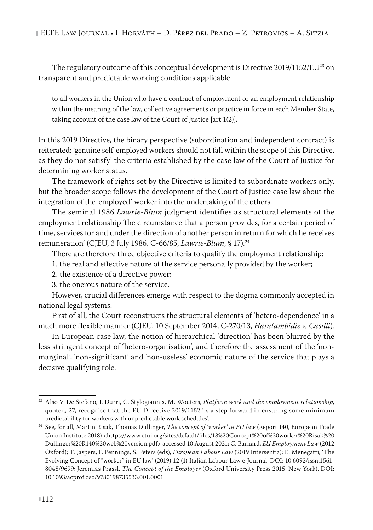The regulatory outcome of this conceptual development is Directive 2019/1152/EU<sup>23</sup> on transparent and predictable working conditions applicable

to all workers in the Union who have a contract of employment or an employment relationship within the meaning of the law, collective agreements or practice in force in each Member State, taking account of the case law of the Court of Justice [art 1(2)].

In this 2019 Directive, the binary perspective (subordination and independent contract) is reiterated: 'genuine self-employed workers should not fall within the scope of this Directive, as they do not satisfy' the criteria established by the case law of the Court of Justice for determining worker status.

The framework of rights set by the Directive is limited to subordinate workers only, but the broader scope follows the development of the Court of Justice case law about the integration of the 'employed' worker into the undertaking of the others.

The seminal 1986 *Lawrie-Blum* judgment identifies as structural elements of the employment relationship 'the circumstance that a person provides, for a certain period of time, services for and under the direction of another person in return for which he receives remuneration' (CJEU, 3 July 1986, C-66/85, *Lawrie-Blum*, § 17).24

There are therefore three objective criteria to qualify the employment relationship:

- 1. the real and effective nature of the service personally provided by the worker;
- 2. the existence of a directive power;

3. the onerous nature of the service.

However, crucial differences emerge with respect to the dogma commonly accepted in national legal systems.

First of all, the Court reconstructs the structural elements of 'hetero-dependence' in a much more flexible manner (CJEU, 10 September 2014, C-270/13, *Haralambidis v. Casilli*).

In European case law, the notion of hierarchical 'direction' has been blurred by the less stringent concept of 'hetero-organisation', and therefore the assessment of the 'nonmarginal', 'non-significant' and 'non-useless' economic nature of the service that plays a decisive qualifying role.

<sup>23</sup> Also V. De Stefano, I. Durri, C. Stylogiannis, M. Wouters, *Platform work and the employment relationship*, quoted, 27, recognise that the EU Directive 2019/1152 'is a step forward in ensuring some minimum predictability for workers with unpredictable work schedules'.

<sup>24</sup> See, for all, Martin Risak, Thomas Dullinger, *The concept of 'worker' in EU law* (Report 140, European Trade Union Institute 2018) <https://www.etui.org/sites/default/files/18%20Concept%20of%20worker%20Risak%20 Dullinger%20R140%20web%20version.pdf> accessed 10 August 2021; C. Barnard, *EU Employment Law* (2012 Oxford); T. Jaspers, F. Pennings, S. Peters (eds), *European Labour Law* (2019 Intersentia); E. Menegatti, 'The Evolving Concept of "worker" in EU law' (2019) 12 (1) Italian Labour Law e-Journal, DOI: 10.6092/issn.1561- 8048/9699; Jeremias Prassl, *The Concept of the Employer* (Oxford University Press 2015, New York). DOI: 10.1093/acprof:oso/9780198735533.001.0001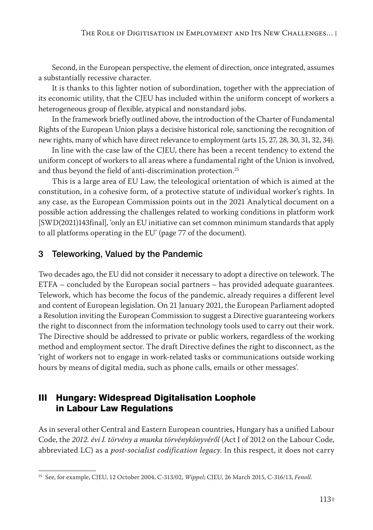Second, in the European perspective, the element of direction, once integrated, assumes a substantially recessive character.

It is thanks to this lighter notion of subordination, together with the appreciation of its economic utility, that the CJEU has included within the uniform concept of workers a heterogeneous group of flexible, atypical and nonstandard jobs.

In the framework briefly outlined above, the introduction of the Charter of Fundamental Rights of the European Union plays a decisive historical role, sanctioning the recognition of new rights, many of which have direct relevance to employment (arts 15, 27, 28, 30, 31, 32, 34).

In line with the case law of the CJEU, there has been a recent tendency to extend the uniform concept of workers to all areas where a fundamental right of the Union is involved, and thus beyond the field of anti-discrimination protection.<sup>25</sup>

This is a large area of EU Law, the teleological orientation of which is aimed at the constitution, in a cohesive form, of a protective statute of individual worker's rights. In any case, as the European Commission points out in the 2021 Analytical document on a possible action addressing the challenges related to working conditions in platform work [SWD(2021)143final], 'only an EU initiative can set common minimum standards that apply to all platforms operating in the EU' (page 77 of the document).

# 3 Teleworking, Valued by the Pandemic

Two decades ago, the EU did not consider it necessary to adopt a directive on telework. The ETFA – concluded by the European social partners – has provided adequate guarantees. Telework, which has become the focus of the pandemic, already requires a different level and content of European legislation. On 21 January 2021, the European Parliament adopted a Resolution inviting the European Commission to suggest a Directive guaranteeing workers the right to disconnect from the information technology tools used to carry out their work. The Directive should be addressed to private or public workers, regardless of the working method and employment sector. The draft Directive defines the right to disconnect, as the 'right of workers not to engage in work-related tasks or communications outside working hours by means of digital media, such as phone calls, emails or other messages'.

# III Hungary: Widespread Digitalisation Loophole in Labour Law Regulations

As in several other Central and Eastern European countries, Hungary has a unified Labour Code, the *2012. évi I. törvény a munka törvénykönyvéről* (Act I of 2012 on the Labour Code, abbreviated LC) as a *post-socialist codification legacy*. In this respect, it does not carry

<sup>25</sup> See, for example, CJEU, 12 October 2004, C-313/02, *Wippel*; CJEU, 26 March 2015, C-316/13, *Fenoll*.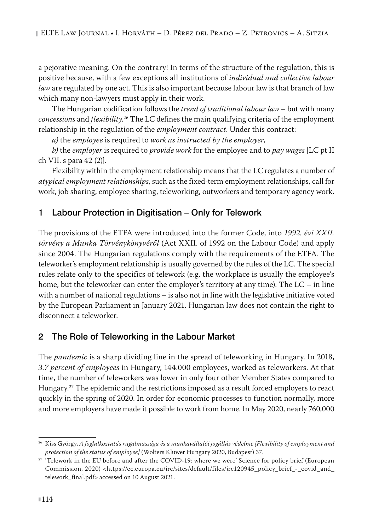a pejorative meaning. On the contrary! In terms of the structure of the regulation, this is positive because, with a few exceptions all institutions of *individual and collective labour law* are regulated by one act. This is also important because labour law is that branch of law which many non-lawyers must apply in their work.

The Hungarian codification follows the *trend of traditional labour law* – but with many *concessions* and *flexibility*. 26 The LC defines the main qualifying criteria of the employment relationship in the regulation of the *employment contract*. Under this contract:

*a)* the *employee* is required to *work as instructed by the employer*,

*b)* the *employer* is required to *provide work* for the employee and to *pay wages* [LC pt II ch VII. s para 42 (2)].

Flexibility within the employment relationship means that the LC regulates a number of *atypical employment relationships*, such as the fixed-term employment relationships, call for work, job sharing, employee sharing, teleworking, outworkers and temporary agency work.

# 1 Labour Protection in Digitisation – Only for Telework

The provisions of the ETFA were introduced into the former Code, into *1992. évi XXII. törvény a Munka Törvénykönyvéről* (Act XXII. of 1992 on the Labour Code) and apply since 2004. The Hungarian regulations comply with the requirements of the ETFA. The teleworker's employment relationship is usually governed by the rules of the LC. The special rules relate only to the specifics of telework (e.g. the workplace is usually the employee's home, but the teleworker can enter the employer's territory at any time). The LC – in line with a number of national regulations – is also not in line with the legislative initiative voted by the European Parliament in January 2021. Hungarian law does not contain the right to disconnect a teleworker.

# 2 The Role of Teleworking in the Labour Market

The *pandemic* is a sharp dividing line in the spread of teleworking in Hungary. In 2018, *3.7 percent of employees* in Hungary, 144.000 employees, worked as teleworkers. At that time, the number of teleworkers was lower in only four other Member States compared to Hungary.<sup>27</sup> The epidemic and the restrictions imposed as a result forced employers to react quickly in the spring of 2020. In order for economic processes to function normally, more and more employers have made it possible to work from home. In May 2020, nearly 760,000

<sup>26</sup> Kiss György, *A foglalkoztatás rugalmassága és a munkavállalói jogállás védelme [Flexibility of employment and protection of the status of employee]* (Wolters Kluwer Hungary 2020, Budapest) 37.

<sup>&</sup>lt;sup>27</sup> 'Telework in the EU before and after the COVID-19: where we were' Science for policy brief (European Commission, 2020) <https://ec.europa.eu/jrc/sites/default/files/jrc120945\_policy\_brief\_-\_covid\_and\_ telework\_final.pdf> accessed on 10 August 2021.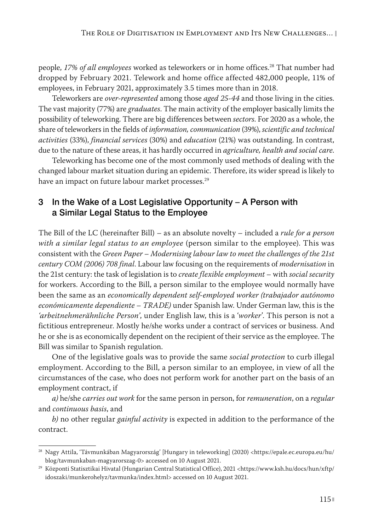people, *17% of all employees* worked as teleworkers or in home offices.28 That number had dropped by February 2021. Telework and home office affected 482,000 people, 11% of employees, in February 2021, approximately 3.5 times more than in 2018.

Teleworkers are *over-represented* among those *aged 25-44* and those living in the cities. The vast majority (77%) are *graduates*. The main activity of the employer basically limits the possibility of teleworking. There are big differences between *sectors*. For 2020 as a whole, the share of teleworkers in the fields of *information, communication* (39%), *scientific and technical activities* (33%), *financial services* (30%) and *education* (21%) was outstanding. In contrast, due to the nature of these areas, it has hardly occurred in *agriculture, health and social care*.

Teleworking has become one of the most commonly used methods of dealing with the changed labour market situation during an epidemic. Therefore, its wider spread is likely to have an impact on future labour market processes.<sup>29</sup>

# 3 In the Wake of a Lost Legislative Opportunity – A Person with a Similar Legal Status to the Employee

The Bill of the LC (hereinafter Bill) – as an absolute novelty – included a *rule for a person with a similar legal status to an employee* (person similar to the employee). This was consistent with the *Green Paper – Modernising labour law to meet the challenges of the 21st century COM (2006) 708 final*. Labour law focusing on the requirements of *modernisation* in the 21st century: the task of legislation is to *create flexible employment* – with *social security* for workers. According to the Bill, a person similar to the employee would normally have been the same as an *economically dependent self-employed worker (trabajador autónomo económicamente dependiente – TRADE)* under Spanish law. Under German law, this is the *'arbeitnehmerähnliche Person'*, under English law, this is a '*worker*'. This person is not a fictitious entrepreneur. Mostly he/she works under a contract of services or business. And he or she is as economically dependent on the recipient of their service as the employee. The Bill was similar to Spanish regulation.

One of the legislative goals was to provide the same *social protection* to curb illegal employment. According to the Bill, a person similar to an employee, in view of all the circumstances of the case, who does not perform work for another part on the basis of an employment contract, if

*a)* he/she *carries out work* for the same person in person, for *remuneration*, on a *regular*  and *continuous basis*, and

*b)* no other regular *gainful activity* is expected in addition to the performance of the contract.

<sup>28</sup> Nagy Attila, 'Távmunkában Magyarország' [Hungary in teleworking] (2020) <https://epale.ec.europa.eu/hu/ blog/tavmunkaban-magyarorszag-0> accessed on 10 August 2021.

<sup>29</sup> Központi Statisztikai Hivatal (Hungarian Central Statistical Office), 2021 <https://www.ksh.hu/docs/hun/xftp/ idoszaki/munkerohelyz/tavmunka/index.html> accessed on 10 August 2021.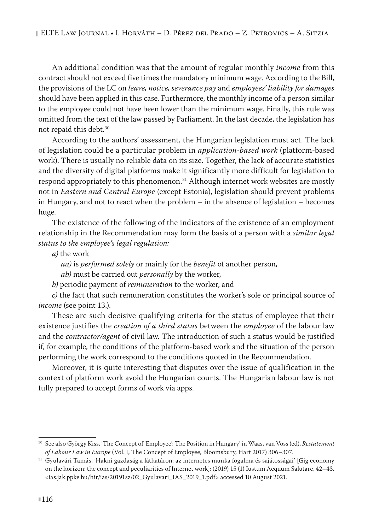An additional condition was that the amount of regular monthly *income* from this contract should not exceed five times the mandatory minimum wage. According to the Bill, the provisions of the LC on *leave, notice, severance pay* and *employees' liability for damages* should have been applied in this case. Furthermore, the monthly income of a person similar to the employee could not have been lower than the minimum wage. Finally, this rule was omitted from the text of the law passed by Parliament. In the last decade, the legislation has not repaid this debt.30

According to the authors' assessment, the Hungarian legislation must act. The lack of legislation could be a particular problem in *application-based work* (platform-based work). There is usually no reliable data on its size. Together, the lack of accurate statistics and the diversity of digital platforms make it significantly more difficult for legislation to respond appropriately to this phenomenon.<sup>31</sup> Although internet work websites are mostly not in *Eastern and Central Europe* (except Estonia), legislation should prevent problems in Hungary, and not to react when the problem – in the absence of legislation – becomes huge.

The existence of the following of the indicators of the existence of an employment relationship in the Recommendation may form the basis of a person with a *similar legal status to the employee's legal regulation:*

- *a)* the work
	- *aa)* is *performed solely* or mainly for the *benefit* of another person,
	- *ab)* must be carried out *personally* by the worker,
- *b)* periodic payment of *remuneration* to the worker, and

*c)* the fact that such remuneration constitutes the worker's sole or principal source of *income* (see point 13.).

These are such decisive qualifying criteria for the status of employee that their existence justifies the *creation of a third status* between the *employee* of the labour law and the *contractor/agent* of civil law. The introduction of such a status would be justified if, for example, the conditions of the platform-based work and the situation of the person performing the work correspond to the conditions quoted in the Recommendation.

Moreover, it is quite interesting that disputes over the issue of qualification in the context of platform work avoid the Hungarian courts. The Hungarian labour law is not fully prepared to accept forms of work via apps.

<sup>30</sup> See also György Kiss, 'The Concept of 'Employee': The Position in Hungary' in Waas, van Voss (ed), *Restatement of Labour Law in Europe* (Vol. I, The Concept of Employee, Bloomsbury, Hart 2017) 306–307.

<sup>31</sup> Gyulavári Tamás, 'Hakni gazdaság a láthatáron: az internetes munka fogalma és sajátosságai' [Gig economy on the horizon: the concept and peculiarities of Internet work]; (2019) 15 (1) Iustum Aequum Salutare, 42–43. <ias.jak.ppke.hu/hir/ias/20191sz/02\_Gyulavari\_IAS\_2019\_1.pdf> accessed 10 August 2021.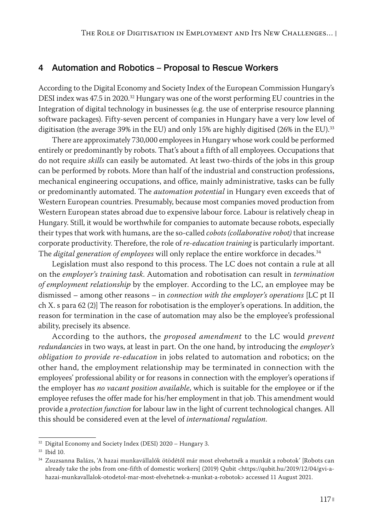#### 4 Automation and Robotics – Proposal to Rescue Workers

According to the Digital Economy and Society Index of the European Commission Hungary's DESI index was 47.5 in 2020.<sup>32</sup> Hungary was one of the worst performing EU countries in the Integration of digital technology in businesses (e.g. the use of enterprise resource planning software packages). Fifty-seven percent of companies in Hungary have a very low level of digitisation (the average 39% in the EU) and only 15% are highly digitised (26% in the EU).<sup>33</sup>

There are approximately 730,000 employees in Hungary whose work could be performed entirely or predominantly by robots. That's about a fifth of all employees. Occupations that do not require *skills* can easily be automated. At least two-thirds of the jobs in this group can be performed by robots. More than half of the industrial and construction professions, mechanical engineering occupations, and office, mainly administrative, tasks can be fully or predominantly automated. The *automation potential* in Hungary even exceeds that of Western European countries. Presumably, because most companies moved production from Western European states abroad due to expensive labour force. Labour is relatively cheap in Hungary. Still, it would be worthwhile for companies to automate because robots, especially their types that work with humans, are the so-called *cobots (collaborative robot)* that increase corporate productivity. Therefore, the role of *re-education training* is particularly important. The *digital generation of employees* will only replace the entire workforce in decades.34

Legislation must also respond to this process. The LC does not contain a rule at all on the *employer's training task*. Automation and robotisation can result in *termination of employment relationship* by the employer. According to the LC, an employee may be dismissed – among other reasons – in *connection with the employer's operations* [LC pt II ch X. s para 62 (2)] The reason for robotisation is the employer's operations. In addition, the reason for termination in the case of automation may also be the employee's professional ability, precisely its absence.

According to the authors, the *proposed amendment* to the LC would *prevent redundancies* in two ways, at least in part. On the one hand, by introducing the *employer's obligation to provide re-education* in jobs related to automation and robotics; on the other hand, the employment relationship may be terminated in connection with the employees' professional ability or for reasons in connection with the employer's operations if the employer has *no vacant position available*, which is suitable for the employee or if the employee refuses the offer made for his/her employment in that job. This amendment would provide a *protection function* for labour law in the light of current technological changes. All this should be considered even at the level of *international regulation*.

<sup>&</sup>lt;sup>32</sup> Digital Economy and Society Index (DESI) 2020 - Hungary 3.

<sup>33</sup> Ibid 10.

<sup>34</sup> Zsuzsanna Balázs, 'A hazai munkavállalók ötödétől már most elvehetnék a munkát a robotok' [Robots can already take the jobs from one-fifth of domestic workers] (2019) Qubit <https://qubit.hu/2019/12/04/gvi-ahazai-munkavallalok-otodetol-mar-most-elvehetnek-a-munkat-a-robotok> accessed 11 August 2021.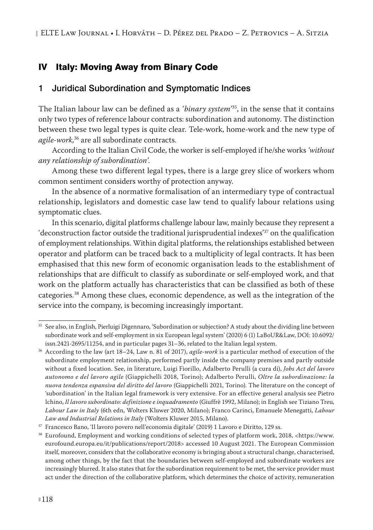# IV Italy: Moving Away from Binary Code

#### 1 Juridical Subordination and Symptomatic Indices

The Italian labour law can be defined as a *'binary system'*35, in the sense that it contains only two types of reference labour contracts: subordination and autonomy. The distinction between these two legal types is quite clear. Tele-work, home-work and the new type of *agile-work*, 36 are all subordinate contracts.

According to the Italian Civil Code, the worker is self-employed if he/she works *'without any relationship of subordination'*.

Among these two different legal types, there is a large grey slice of workers whom common sentiment considers worthy of protection anyway.

In the absence of a normative formalisation of an intermediary type of contractual relationship, legislators and domestic case law tend to qualify labour relations using symptomatic clues.

In this scenario, digital platforms challenge labour law, mainly because they represent a 'deconstruction factor outside the traditional jurisprudential indexes<sup>'37</sup> on the qualification of employment relationships. Within digital platforms, the relationships established between operator and platform can be traced back to a multiplicity of legal contracts. It has been emphasised that this new form of economic organisation leads to the establishment of relationships that are difficult to classify as subordinate or self-employed work, and that work on the platform actually has characteristics that can be classified as both of these categories.38 Among these clues, economic dependence, as well as the integration of the service into the company, is becoming increasingly important.

<sup>35</sup> See also, in English, Pierluigi Digennaro, 'Subordination or subjection? A study about the dividing line between subordinate work and self-employment in six European legal system' (2020) 6 (1) LaBoUR&Law, DOI: 10.6092/ issn.2421-2695/11254, and in particular pages 31–36, related to the Italian legal system.

<sup>36</sup> According to the law (art 18–24, Law n. 81 of 2017), *agile-work* is a particular method of execution of the subordinate employment relationship, performed partly inside the company premises and partly outside without a fixed location. See, in literature, Luigi Fiorillo, Adalberto Perulli (a cura di), *Jobs Act del lavoro autonomo e del lavoro agile* (Giappichelli 2018, Torino); Adalberto Perulli, *Oltre la subordinazione: la nuova tendenza espansiva del diritto del lavoro* (Giappichelli 2021, Torino). The literature on the concept of 'subordination' in the Italian legal framework is very extensive. For an effective general analysis see Pietro Ichino, *Il lavoro subordinato: definizione e inquadramento* (Giuffrè 1992, Milano); in English see Tiziano Treu, *Labour Law in Italy* (6th edn, Wolters Kluwer 2020, Milano); Franco Carinci, Emanuele Menegatti, *Labour Law and Industrial Relations in Italy* (Wolters Kluwer 2015, Milano).

<sup>37</sup> Francesco Bano, 'Il lavoro povero nell'economia digitale' (2019) 1 Lavoro e Diritto, 129 ss.

<sup>38</sup> Eurofound, Employment and working conditions of selected types of platform work, 2018, <https://www. eurofound.europa.eu/it/publications/report/2018> accessed 10 August 2021. The European Commission itself, moreover, considers that the collaborative economy is bringing about a structural change, characterised, among other things, by the fact that the boundaries between self-employed and subordinate workers are increasingly blurred. It also states that for the subordination requirement to be met, the service provider must act under the direction of the collaborative platform, which determines the choice of activity, remuneration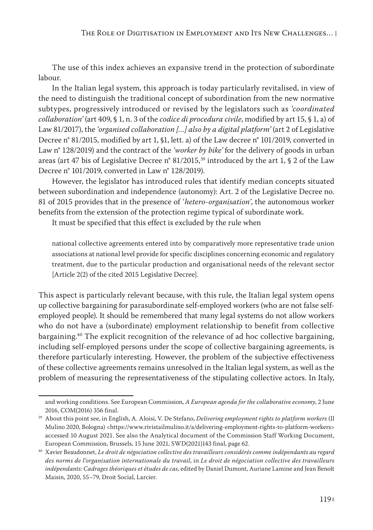The use of this index achieves an expansive trend in the protection of subordinate labour.

In the Italian legal system, this approach is today particularly revitalised, in view of the need to distinguish the traditional concept of subordination from the new normative subtypes, progressively introduced or revised by the legislators such as *'coordinated collaboration'* (art 409, § 1, n. 3 of the *codice di procedura civile*, modified by art 15, § 1, a) of Law 81/2017), the *'organised collaboration […] also by a digital platform'* (art 2 of Legislative Decree n° 81/2015, modified by art 1, §1, lett. a) of the Law decree n° 101/2019, converted in Law n° 128/2019) and the contract of the *'worker by bike'* for the delivery of goods in urban areas (art 47 bis of Legislative Decree n° 81/2015,<sup>39</sup> introduced by the art 1, § 2 of the Law Decree n° 101/2019, converted in Law n° 128/2019).

However, the legislator has introduced rules that identify median concepts situated between subordination and independence (autonomy): Art. 2 of the Legislative Decree no. 81 of 2015 provides that in the presence of *'hetero-organisation'*, the autonomous worker benefits from the extension of the protection regime typical of subordinate work.

It must be specified that this effect is excluded by the rule when

national collective agreements entered into by comparatively more representative trade union associations at national level provide for specific disciplines concerning economic and regulatory treatment, due to the particular production and organisational needs of the relevant sector [Article 2(2) of the cited 2015 Legislative Decree].

This aspect is particularly relevant because, with this rule, the Italian legal system opens up collective bargaining for parasubordinate self-employed workers (who are not false selfemployed people). It should be remembered that many legal systems do not allow workers who do not have a (subordinate) employment relationship to benefit from collective bargaining.<sup>40</sup> The explicit recognition of the relevance of ad hoc collective bargaining, including self-employed persons under the scope of collective bargaining agreements, is therefore particularly interesting. However, the problem of the subjective effectiveness of these collective agreements remains unresolved in the Italian legal system, as well as the problem of measuring the representativeness of the stipulating collective actors. In Italy,

and working conditions. See European Commission, *A European agenda for the collaborative economy*, 2 June

<sup>2016,</sup> COM(2016) 356 final. 39 About this point see, in English, A. Aloisi, V. De Stefano, *Delivering employment rights to platform workers* (Il Mulino 2020, Bologna) <https://www.rivistailmulino.it/a/delivering-employment-rights-to-platform-workers> accessed 10 August 2021. See also the Analytical document of the Commission Staff Working Document, European Commission, Brussels, 15 June 2021, SWD(2021)143 final, page 62.

<sup>40</sup> Xavier Beaudonnet, *Le droit de négociation collective des travailleurs considérés comme indépendants au regard des norms de l'organisation internationale du travail*, in *Le droit de négociation collective des travailleurs indépendants: Cadrages théoriques et études de cas*, edited by Daniel Dumont, Auriane Lamine and Jean Benoît Maisin, 2020, 55–79, Droit Social, Larcier.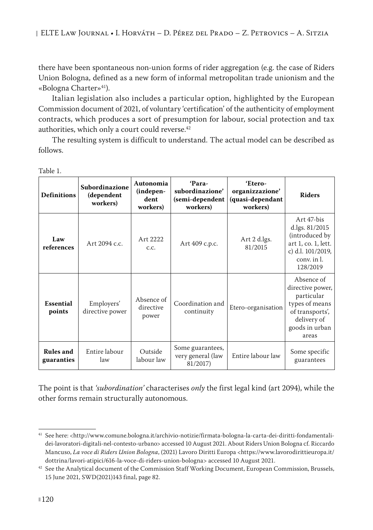there have been spontaneous non-union forms of rider aggregation (e.g. the case of Riders Union Bologna, defined as a new form of informal metropolitan trade unionism and the «Bologna Charter»<sup>41</sup>).

Italian legislation also includes a particular option, highlighted by the European Commission document of 2021, of voluntary 'certification' of the authenticity of employment contracts, which produces a sort of presumption for labour, social protection and tax authorities, which only a court could reverse.<sup>42</sup>

The resulting system is difficult to understand. The actual model can be described as follows.

| <b>Definitions</b>             | Subordinazione<br>(dependent<br>workers) | Autonomia<br>(indepen-<br>dent<br>workers) | 'Para-<br>subordinazione'<br>(semi-dependent<br>workers) | 'Etero-<br>organizzazione'<br>(quasi-dependant<br>workers) | <b>Riders</b>                                                                                                               |
|--------------------------------|------------------------------------------|--------------------------------------------|----------------------------------------------------------|------------------------------------------------------------|-----------------------------------------------------------------------------------------------------------------------------|
| Law<br>references              | Art 2094 c.c.                            | Art 2222<br>C.C.                           | Art 409 c.p.c.                                           | Art 2 d.lgs.<br>81/2015                                    | Art 47-bis<br>d.lgs. 81/2015<br>(introduced by<br>art 1, co. 1, lett.<br>c) d.l. 101/2019,<br>conv. in l.<br>128/2019       |
| Essential<br>points            | Employers'<br>directive power            | Absence of<br>directive<br>power           | Coordination and<br>continuity                           | Etero-organisation                                         | Absence of<br>directive power,<br>particular<br>types of means<br>of transports',<br>delivery of<br>goods in urban<br>areas |
| <b>Rules</b> and<br>guaranties | Entire labour<br>law                     | Outside<br>labour law                      | Some guarantees,<br>very general (law<br>81/2017)        | Entire labour law                                          | Some specific<br>guarantees                                                                                                 |

Table 1.

The point is that *'subordination'* characterises *only* the first legal kind (art 2094), while the other forms remain structurally autonomous.

<sup>41</sup> See here: <http://www.comune.bologna.it/archivio-notizie/firmata-bologna-la-carta-dei-diritti-fondamentalidei-lavoratori-digitali-nel-contesto-urbano> accessed 10 August 2021. About Riders Union Bologna cf. Riccardo Mancuso, *La voce di Riders Union Bologna*, (2021) Lavoro Diritti Europa [<https://www.lavorodirittieuropa.it/](https://www.lavorodirittieuropa.it/dottrina/lavori-atipici/616-la-voce-di-riders-union-bologna) [dottrina/lavori-atipici/616-la-voce-di-riders-union-bologna](https://www.lavorodirittieuropa.it/dottrina/lavori-atipici/616-la-voce-di-riders-union-bologna)> accessed 10 August 2021.

 $42$  See the Analytical document of the Commission Staff Working Document, European Commission, Brussels, 15 June 2021, SWD(2021)143 final, page 82.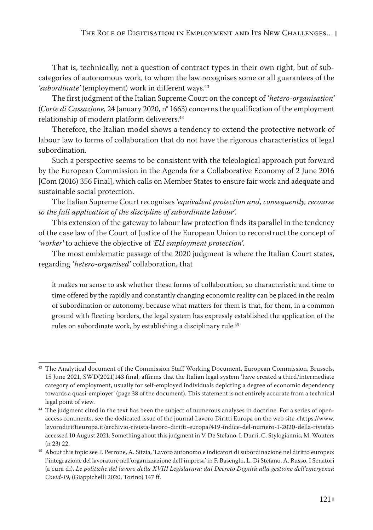That is, technically, not a question of contract types in their own right, but of subcategories of autonomous work, to whom the law recognises some or all guarantees of the 'subordinate' (employment) work in different ways.<sup>43</sup>

The first judgment of the Italian Supreme Court on the concept of *'hetero-organisation'* (*Corte di Cassazione*, 24 January 2020, n° 1663) concerns the qualification of the employment relationship of modern platform deliverers.<sup>44</sup>

Therefore, the Italian model shows a tendency to extend the protective network of labour law to forms of collaboration that do not have the rigorous characteristics of legal subordination.

Such a perspective seems to be consistent with the teleological approach put forward by the European Commission in the Agenda for a Collaborative Economy of 2 June 2016 [Com (2016) 356 Final], which calls on Member States to ensure fair work and adequate and sustainable social protection.

The Italian Supreme Court recognises *'equivalent protection and, consequently, recourse to the full application of the discipline of subordinate labour'.*

This extension of the gateway to labour law protection finds its parallel in the tendency of the case law of the Court of Justice of the European Union to reconstruct the concept of *'worker'* to achieve the objective of *'EU employment protection'.*

The most emblematic passage of the 2020 judgment is where the Italian Court states, regarding *'hetero-organised'* collaboration, that

it makes no sense to ask whether these forms of collaboration, so characteristic and time to time offered by the rapidly and constantly changing economic reality can be placed in the realm of subordination or autonomy, because what matters for them is that, for them, in a common ground with fleeting borders, the legal system has expressly established the application of the rules on subordinate work, by establishing a disciplinary rule.<sup>45</sup>

<sup>&</sup>lt;sup>43</sup> The Analytical document of the Commission Staff Working Document, European Commission, Brussels, 15 June 2021, SWD(2021)143 final, affirms that the Italian legal system 'have created a third/intermediate category of employment, usually for self-employed individuals depicting a degree of economic dependency towards a quasi-employer' (page 38 of the document). This statement is not entirely accurate from a technical

legal point of view. 44 The judgment cited in the text has been the subject of numerous analyses in doctrine. For a series of openaccess comments, see the dedicated issue of the journal Lavoro Diritti Europa on the web site <https://www. lavorodirittieuropa.it/archivio-rivista-lavoro-diritti-europa/419-indice-del-numero-1-2020-della-rivista> accessed 10 August 2021. Something about this judgment in V. De Stefano, I. Durri, C. Stylogiannis, M. Wouters (n 23) 22.

<sup>45</sup> About this topic see F. Perrone, A. Sitzia, 'Lavoro autonomo e indicatori di subordinazione nel diritto europeo: l'integrazione del lavoratore nell'organizzazione dell'impresa' in F. Basenghi, L. Di Stefano, A. Russo, I Senatori (a cura di), *Le politiche del lavoro della XVIII Legislatura: dal Decreto Dignità alla gestione dell'emergenza Covid-19*, (Giappichelli 2020, Torino) 147 ff.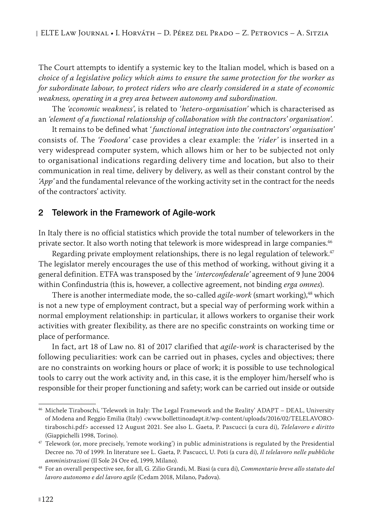The Court attempts to identify a systemic key to the Italian model, which is based on a *choice of a legislative policy which aims to ensure the same protection for the worker as for subordinate labour, to protect riders who are clearly considered in a state of economic weakness, operating in a grey area between autonomy and subordination*.

The *'economic weakness'*, is related to *'hetero-organisation'* which is characterised as an *'element of a functional relationship of collaboration with the contractors' organisation'*.

It remains to be defined what *' functional integration into the contractors' organisation'* consists of. The *'Foodora'* case provides a clear example: the *'rider'* is inserted in a very widespread computer system, which allows him or her to be subjected not only to organisational indications regarding delivery time and location, but also to their communication in real time, delivery by delivery, as well as their constant control by the *'App'* and the fundamental relevance of the working activity set in the contract for the needs of the contractors' activity.

#### 2 Telework in the Framework of Agile-work

In Italy there is no official statistics which provide the total number of teleworkers in the private sector. It also worth noting that telework is more widespread in large companies.46

Regarding private employment relationships, there is no legal regulation of telework.<sup>47</sup> The legislator merely encourages the use of this method of working, without giving it a general definition. ETFA was transposed by the *'interconfederale'* agreement of 9 June 2004 within Confindustria (this is, however, a collective agreement, not binding *erga omnes*).

There is another intermediate mode, the so-called *agile-work* (smart working),<sup>48</sup> which is not a new type of employment contract, but a special way of performing work within a normal employment relationship: in particular, it allows workers to organise their work activities with greater flexibility, as there are no specific constraints on working time or place of performance.

In fact, art 18 of Law no. 81 of 2017 clarified that *agile-work* is characterised by the following peculiarities: work can be carried out in phases, cycles and objectives; there are no constraints on working hours or place of work; it is possible to use technological tools to carry out the work activity and, in this case, it is the employer him/herself who is responsible for their proper functioning and safety; work can be carried out inside or outside

<sup>46</sup> Michele Tiraboschi, 'Telework in Italy: The Legal Framework and the Reality' ADAPT – DEAL, University of Modena and Reggio Emilia (Italy) <www.bollettinoadapt.it/wp-content/uploads/2016/02/TELELAVOROtiraboschi.pdf> accessed 12 August 2021. See also L. Gaeta, P. Pascucci (a cura di), *Telelavoro e diritto* (Giappichelli 1998, Torino).

<sup>&</sup>lt;sup>47</sup> Telework (or, more precisely, 'remote working') in public administrations is regulated by the Presidential Decree no. 70 of 1999. In literature see L. Gaeta, P. Pascucci, U. Poti (a cura di), *Il telelavoro nelle pubbliche amministrazioni* (Il Sole 24 Ore ed, 1999, Milano).

<sup>48</sup> For an overall perspective see, for all, G. Zilio Grandi, M. Biasi (a cura di), *Commentario breve allo statuto del lavoro autonomo e del lavoro agile* (Cedam 2018, Milano, Padova).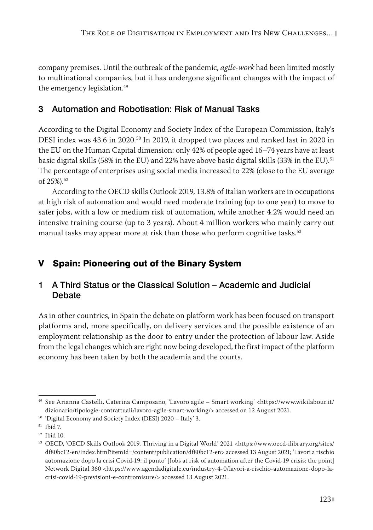company premises. Until the outbreak of the pandemic, *agile-work* had been limited mostly to multinational companies, but it has undergone significant changes with the impact of the emergency legislation.<sup>49</sup>

# 3 Automation and Robotisation: Risk of Manual Tasks

According to the Digital Economy and Society Index of the European Commission, Italy's DESI index was 43.6 in 2020.<sup>50</sup> In 2019, it dropped two places and ranked last in 2020 in the EU on the Human Capital dimension: only 42% of people aged 16–74 years have at least basic digital skills (58% in the EU) and 22% have above basic digital skills (33% in the EU).51 The percentage of enterprises using social media increased to 22% (close to the EU average of 25%).52

According to the OECD skills Outlook 2019, 13.8% of Italian workers are in occupations at high risk of automation and would need moderate training (up to one year) to move to safer jobs, with a low or medium risk of automation, while another 4.2% would need an intensive training course (up to 3 years). About 4 million workers who mainly carry out manual tasks may appear more at risk than those who perform cognitive tasks.<sup>53</sup>

# V Spain: Pioneering out of the Binary System

# 1 A Third Status or the Classical Solution – Academic and Judicial **Debate**

As in other countries, in Spain the debate on platform work has been focused on transport platforms and, more specifically, on delivery services and the possible existence of an employment relationship as the door to entry under the protection of labour law. Aside from the legal changes which are right now being developed, the first impact of the platform economy has been taken by both the academia and the courts.

<sup>49</sup> See Arianna Castelli, Caterina Camposano, 'Lavoro agile – Smart working' <https://www.wikilabour.it/ dizionario/tipologie-contrattuali/lavoro-agile-smart-working/> accessed on 12 August 2021.

<sup>50</sup> 'Digital Economy and Society Index (DESI) 2020 – Italy' 3.

<sup>51</sup> Ibid 7.

<sup>52</sup> Ibid 10.

<sup>53</sup> OECD, 'OECD Skills Outlook 2019. Thriving in a Digital World' 2021 <https://www.oecd-ilibrary.org/sites/ df80bc12-en/index.html?itemId=/content/publication/df80bc12-en> accessed 13 August 2021; 'Lavori a rischio automazione dopo la crisi Covid-19: il punto' [Jobs at risk of automation after the Covid-19 crisis: the point] Network Digital 360 <https://www.agendadigitale.eu/industry-4-0/lavori-a-rischio-automazione-dopo-lacrisi-covid-19-previsioni-e-contromisure/> accessed 13 August 2021.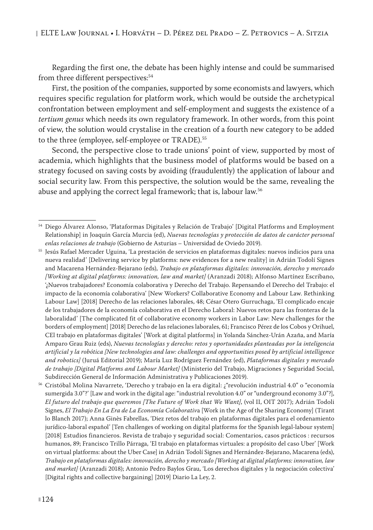Regarding the first one, the debate has been highly intense and could be summarised from three different perspectives:<sup>54</sup>

First, the position of the companies, supported by some economists and lawyers, which requires specific regulation for platform work, which would be outside the archetypical confrontation between employment and self-employment and suggests the existence of a *tertium genus* which needs its own regulatory framework. In other words, from this point of view, the solution would crystalise in the creation of a fourth new category to be added to the three (employee, self-employee or TRADE).<sup>55</sup>

Second, the perspective close to trade unions' point of view, supported by most of academia, which highlights that the business model of platforms would be based on a strategy focused on saving costs by avoiding (fraudulently) the application of labour and social security law. From this perspective, the solution would be the same, revealing the abuse and applying the correct legal framework; that is, labour law.<sup>56</sup>

<sup>54</sup> Diego Álvarez Alonso, 'Plataformas Digitales y Relación de Trabajo' [Digital Platforms and Employment Relationship] in Joaquín García Murcia (ed), *Nuevas tecnologías y protección de datos de carácter personal enlas relaciones de trabajo* (Gobierno de Asturias – Universidad de Oviedo 2019).

<sup>55</sup> Jesús Rafael Mercader Uguina, 'La prestación de servicios en plataformas digitales: nuevos indicios para una nueva realidad' [Delivering service by platforms: new evidences for a new reality] in Adrián Todolí Signes and Macarena Hernández-Bejarano (eds), *Trabajo en plataformas digitales: innovación, derecho y mercado [Working at digital platforms: innovation, law and market]* (Aranzadi 2018); Alfonso Martínez Escribano, '¿Nuevos trabajadores? Economía colaborativa y Derecho del Trabajo. Repensando el Derecho del Trabajo: el impacto de la economía colaborativa' [New Workers? Collaborative Economy and Labour Law. Rethinking Labour Law] [2018] Derecho de las relaciones laborales, 48; César Otero Gurruchaga, 'El complicado encaje de los trabajadores de la economía colaborativa en el Derecho Laboral: Nuevos retos para las fronteras de la laboralidad' [The complicated fit of collaborative economy workers in Labor Law: New challenges for the borders of employment] [2018] Derecho de las relaciones laborales, 61; Francisco Pérez de los Cobos y Orihuel, CEl trabajo en plataformas digitales' [Work at digital platforms] in Yolanda Sánchez-Urán Azaña, and María Amparo Grau Ruiz (eds), *Nuevas tecnologías y derecho: retos y oportunidades planteadas por la inteligencia artificial y la robótica [New technologies and law: challenges and opportunities posed by artificial intelligence and robotics]* (Juruá Editorial 2019); María Luz Rodríguez Fernández (ed), *Plataformas digitales y mercado de trabajo [Digital Platforms and Labour Market]* (Ministerio del Trabajo, Migraciones y Seguridad Social, Subdirección General de Información Administrativa y Publicaciones 2019).

<sup>56</sup> Cristóbal Molina Navarrete, 'Derecho y trabajo en la era digital: ¿"revolución industrial 4.0" o "economía sumergida 3.0"?' [Law and work in the digital age: "industrial revolution 4.0" or "underground economy 3.0"?], *El futuro del trabajo que queremos [The Future of Work that We Want]*, (vol II, OIT 2017); Adrián Todoli Signes, *El Trabajo En La Era de La Economía Colaborativ*a [Work in the Age of the Sharing Economy] (Tirant lo Blanch 2017); Anna Ginès Fabrellas, 'Diez retos del trabajo en plataformas digitales para el ordenamiento jurídico-laboral español' [Ten challenges of working on digital platforms for the Spanish legal-labour system] [2018] Estudios financieros. Revista de trabajo y seguridad social: Comentarios, casos prácticos : recursos humanos, 89; Francisco Trillo Párraga, 'El trabajo en plataformas virtuales: a propósito del caso Uber' [Work on virtual platforms: about the Uber Case] in Adrián Todolí Signes and Hernández-Bejarano, Macarena (eds), *Trabajo en plataformas digitales: innovación, derecho y mercado [Working at digital platforms: innovation, law and market]* (Aranzadi 2018); Antonio Pedro Baylos Grau, 'Los derechos digitales y la negociación colectiva' [Digital rights and collective bargaining] [2019] Diario La Ley, 2.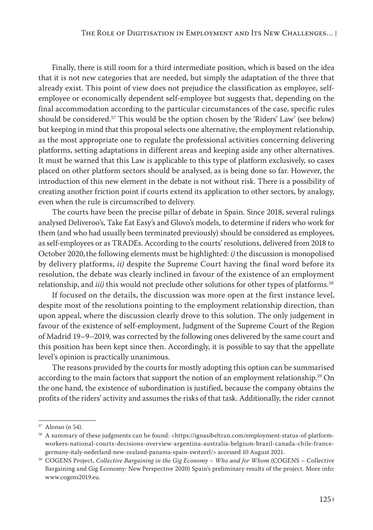Finally, there is still room for a third intermediate position, which is based on the idea that it is not new categories that are needed, but simply the adaptation of the three that already exist. This point of view does not prejudice the classification as employee, selfemployee or economically dependent self-employee but suggests that, depending on the final accommodation according to the particular circumstances of the case, specific rules should be considered.<sup>57</sup> This would be the option chosen by the 'Riders' Law' (see below) but keeping in mind that this proposal selects one alternative, the employment relationship, as the most appropriate one to regulate the professional activities concerning delivering platforms, setting adaptations in different areas and keeping aside any other alternatives. It must be warned that this Law is applicable to this type of platform exclusively, so cases placed on other platform sectors should be analysed, as is being done so far. However, the introduction of this new element in the debate is not without risk. There is a possibility of creating another friction point if courts extend its application to other sectors, by analogy, even when the rule is circumscribed to delivery.

The courts have been the precise pillar of debate in Spain. Since 2018, several rulings analysed Deliveroo's, Take Eat Easy's and Glovo's models, to determine if riders who work for them (and who had usually been terminated previously) should be considered as employees, as self-employees or as TRADEs. According to the courts' resolutions, delivered from 2018 to October 2020, the following elements must be highlighted: *i*) the discussion is monopolised by delivery platforms, *ii)* despite the Supreme Court having the final word before its resolution, the debate was clearly inclined in favour of the existence of an employment relationship, and *iii*) this would not preclude other solutions for other types of platforms.<sup>58</sup>

If focused on the details, the discussion was more open at the first instance level, despite most of the resolutions pointing to the employment relationship direction, than upon appeal, where the discussion clearly drove to this solution. The only judgement in favour of the existence of self-employment, Judgment of the Supreme Court of the Region of Madrid 19–9–2019, was corrected by the following ones delivered by the same court and this position has been kept since then. Accordingly, it is possible to say that the appellate level's opinion is practically unanimous.

The reasons provided by the courts for mostly adopting this option can be summarised according to the main factors that support the notion of an employment relationship.<sup>59</sup> On the one hand, the existence of subordination is justified, because the company obtains the profits of the riders' activity and assumes the risks of that task. Additionally, the rider cannot

<sup>57</sup> Alonso (n 54).

<sup>58</sup> A summary of these judgments can be found: <https://ignasibeltran.com/employment-status-of-platformworkers-national-courts-decisions-overview-argentina-australia-belgium-brazil-canada-chile-francegermany-italy-nederland-new-zealand-panama-spain-switzerl/> accessed 10 August 2021.

<sup>59</sup> COGENS Project, *Collective Bargaining in the Gig Economy – Who and for Whom* (COGENS – Collective Bargaining and Gig Economy: New Perspective 2020) Spain's preliminary results of the project. More info: www.cogens2019.eu.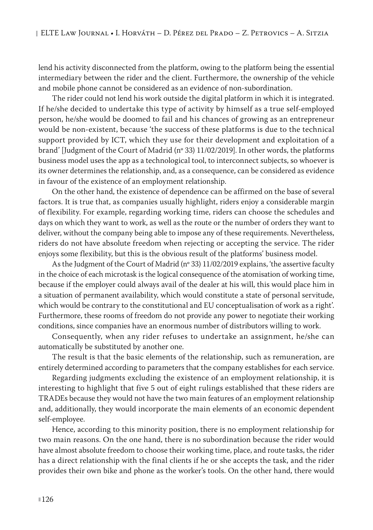lend his activity disconnected from the platform, owing to the platform being the essential intermediary between the rider and the client. Furthermore, the ownership of the vehicle and mobile phone cannot be considered as an evidence of non-subordination.

The rider could not lend his work outside the digital platform in which it is integrated. If he/she decided to undertake this type of activity by himself as a true self-employed person, he/she would be doomed to fail and his chances of growing as an entrepreneur would be non-existent, because 'the success of these platforms is due to the technical support provided by ICT, which they use for their development and exploitation of a brand' [Judgment of the Court of Madrid (nº 33) 11/02/2019]. In other words, the platforms business model uses the app as a technological tool, to interconnect subjects, so whoever is its owner determines the relationship, and, as a consequence, can be considered as evidence in favour of the existence of an employment relationship.

On the other hand, the existence of dependence can be affirmed on the base of several factors. It is true that, as companies usually highlight, riders enjoy a considerable margin of flexibility. For example, regarding working time, riders can choose the schedules and days on which they want to work, as well as the route or the number of orders they want to deliver, without the company being able to impose any of these requirements. Nevertheless, riders do not have absolute freedom when rejecting or accepting the service. The rider enjoys some flexibility, but this is the obvious result of the platforms' business model.

As the Judgment of the Court of Madrid (nº 33) 11/02/2019 explains, 'the assertive faculty in the choice of each microtask is the logical consequence of the atomisation of working time, because if the employer could always avail of the dealer at his will, this would place him in a situation of permanent availability, which would constitute a state of personal servitude, which would be contrary to the constitutional and EU conceptualisation of work as a right'. Furthermore, these rooms of freedom do not provide any power to negotiate their working conditions, since companies have an enormous number of distributors willing to work.

Consequently, when any rider refuses to undertake an assignment, he/she can automatically be substituted by another one.

The result is that the basic elements of the relationship, such as remuneration, are entirely determined according to parameters that the company establishes for each service.

Regarding judgments excluding the existence of an employment relationship, it is interesting to highlight that five 5 out of eight rulings established that these riders are TRADEs because they would not have the two main features of an employment relationship and, additionally, they would incorporate the main elements of an economic dependent self-employee.

Hence, according to this minority position, there is no employment relationship for two main reasons. On the one hand, there is no subordination because the rider would have almost absolute freedom to choose their working time, place, and route tasks, the rider has a direct relationship with the final clients if he or she accepts the task, and the rider provides their own bike and phone as the worker's tools. On the other hand, there would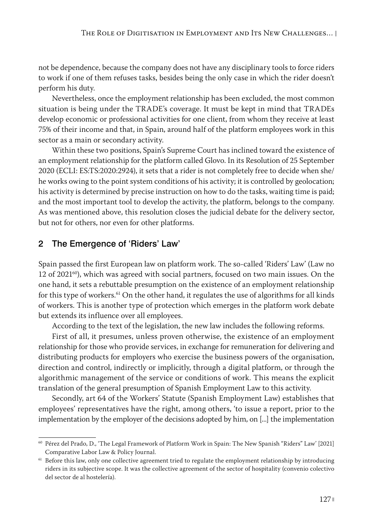not be dependence, because the company does not have any disciplinary tools to force riders to work if one of them refuses tasks, besides being the only case in which the rider doesn't perform his duty.

Nevertheless, once the employment relationship has been excluded, the most common situation is being under the TRADE's coverage. It must be kept in mind that TRADEs develop economic or professional activities for one client, from whom they receive at least 75% of their income and that, in Spain, around half of the platform employees work in this sector as a main or secondary activity.

Within these two positions, Spain's Supreme Court has inclined toward the existence of an employment relationship for the platform called Glovo. In its Resolution of 25 September 2020 (ECLI: ES:TS:2020:2924), it sets that a rider is not completely free to decide when she/ he works owing to the point system conditions of his activity; it is controlled by geolocation; his activity is determined by precise instruction on how to do the tasks, waiting time is paid; and the most important tool to develop the activity, the platform, belongs to the company. As was mentioned above, this resolution closes the judicial debate for the delivery sector, but not for others, nor even for other platforms.

#### 2 The Emergence of 'Riders' Law'

Spain passed the first European law on platform work. The so-called 'Riders' Law' (Law no 12 of 2021 $^{60}$ ), which was agreed with social partners, focused on two main issues. On the one hand, it sets a rebuttable presumption on the existence of an employment relationship for this type of workers.61 On the other hand, it regulates the use of algorithms for all kinds of workers. This is another type of protection which emerges in the platform work debate but extends its influence over all employees.

According to the text of the legislation, the new law includes the following reforms.

First of all, it presumes, unless proven otherwise, the existence of an employment relationship for those who provide services, in exchange for remuneration for delivering and distributing products for employers who exercise the business powers of the organisation, direction and control, indirectly or implicitly, through a digital platform, or through the algorithmic management of the service or conditions of work. This means the explicit translation of the general presumption of Spanish Employment Law to this activity.

Secondly, art 64 of the Workers' Statute (Spanish Employment Law) establishes that employees' representatives have the right, among others, 'to issue a report, prior to the implementation by the employer of the decisions adopted by him, on [...] the implementation

<sup>60</sup> Pérez del Prado, D., 'The Legal Framework of Platform Work in Spain: The New Spanish "Riders" Law' [2021] Comparative Labor Law & Policy Journal.

<sup>&</sup>lt;sup>61</sup> Before this law, only one collective agreement tried to regulate the employment relationship by introducing riders in its subjective scope. It was the collective agreement of the sector of hospitality (convenio colectivo del sector de al hostelería).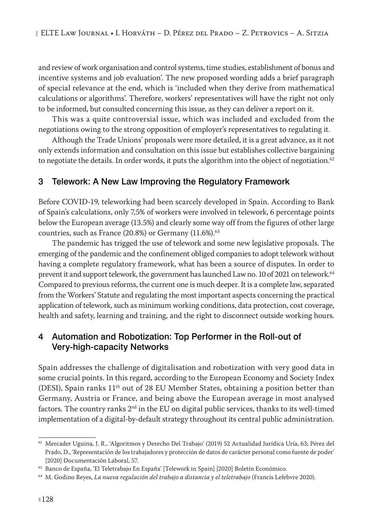and review of work organisation and control systems, time studies, establishment of bonus and incentive systems and job evaluation'. The new proposed wording adds a brief paragraph of special relevance at the end, which is 'included when they derive from mathematical calculations or algorithms'. Therefore, workers' representatives will have the right not only to be informed, but consulted concerning this issue, as they can deliver a report on it.

This was a quite controversial issue, which was included and excluded from the negotiations owing to the strong opposition of employer's representatives to regulating it.

Although the Trade Unions' proposals were more detailed, it is a great advance, as it not only extends information and consultation on this issue but establishes collective bargaining to negotiate the details. In order words, it puts the algorithm into the object of negotiation.<sup>62</sup>

#### 3 Telework: A New Law Improving the Regulatory Framework

Before COVID-19, teleworking had been scarcely developed in Spain. According to Bank of Spain's calculations, only 7,5% of workers were involved in telework, 6 percentage points below the European average (13.5%) and clearly some way off from the figures of other large countries, such as France (20.8%) or Germany (11.6%). $63$ 

The pandemic has trigged the use of telework and some new legislative proposals. The emerging of the pandemic and the confinement obliged companies to adopt telework without having a complete regulatory framework, what has been a source of disputes. In order to prevent it and support telework, the government has launched Law no. 10 of 2021 on telework.<sup>64</sup> Compared to previous reforms, the current one is much deeper. It is a complete law, separated from the Workers' Statute and regulating the most important aspects concerning the practical application of telework, such as minimum working conditions, data protection, cost coverage, health and safety, learning and training, and the right to disconnect outside working hours.

# 4 Automation and Robotization: Top Performer in the Roll-out of Very-high-capacity Networks

Spain addresses the challenge of digitalisation and robotization with very good data in some crucial points. In this regard, according to the European Economy and Society Index (DESI), Spain ranks  $11<sup>th</sup>$  out of 28 EU Member States, obtaining a position better than Germany, Austria or France, and being above the European average in most analysed factors. The country ranks  $2<sup>nd</sup>$  in the EU on digital public services, thanks to its well-timed implementation of a digital-by-default strategy throughout its central public administration.

<sup>62</sup> Mercader Uguina, J. R., 'Algoritmos y Derecho Del Trabajo' (2019) 52 Actualidad Jurídica Uría, 63; Pérez del Prado, D., 'Representación de los trabajadores y protección de datos de carácter personal como fuente de poder' [2020] Documentación Laboral, 57.

<sup>63</sup> Banco de España, 'El Teletrabajo En España' [Telework in Spain] [2020] Boletín Económico.

<sup>64</sup> M. Godino Reyes, *La nueva regulación del trabajo a distancia y el teletrabajo* (Francis Lefebvre 2020).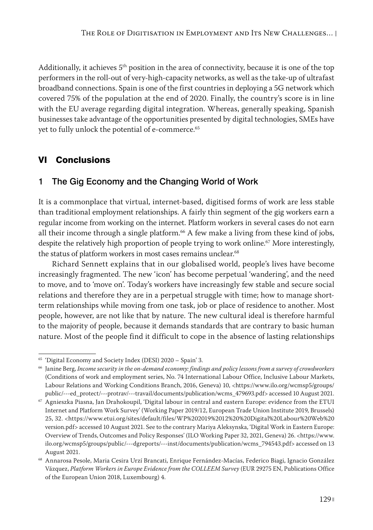Additionally, it achieves 5th position in the area of connectivity, because it is one of the top performers in the roll-out of very-high-capacity networks, as well as the take-up of ultrafast broadband connections. Spain is one of the first countries in deploying a 5G network which covered 75% of the population at the end of 2020. Finally, the country's score is in line with the EU average regarding digital integration. Whereas, generally speaking, Spanish businesses take advantage of the opportunities presented by digital technologies, SMEs have yet to fully unlock the potential of e-commerce.<sup>65</sup>

# VI Conclusions

# 1 The Gig Economy and the Changing World of Work

It is a commonplace that virtual, internet-based, digitised forms of work are less stable than traditional employment relationships. A fairly thin segment of the gig workers earn a regular income from working on the internet. Platform workers in several cases do not earn all their income through a single platform.<sup>66</sup> A few make a living from these kind of jobs, despite the relatively high proportion of people trying to work online.<sup>67</sup> More interestingly, the status of platform workers in most cases remains unclear.<sup>68</sup>

Richard Sennett explains that in our globalised world, people's lives have become increasingly fragmented. The new 'icon' has become perpetual 'wandering', and the need to move, and to 'move on'. Today's workers have increasingly few stable and secure social relations and therefore they are in a perpetual struggle with time; how to manage shortterm relationships while moving from one task, job or place of residence to another. Most people, however, are not like that by nature. The new cultural ideal is therefore harmful to the majority of people, because it demands standards that are contrary to basic human nature. Most of the people find it difficult to cope in the absence of lasting relationships

<sup>65</sup> 'Digital Economy and Society Index (DESI) 2020 – Spain' 3.

<sup>66</sup> Janine Berg, *Income security in the on-demand economy: findings and policy lessons from a survey of crowdworkers* (Conditions of work and employment series, No. 74 International Labour Office, Inclusive Labour Markets, Labour Relations and Working Conditions Branch, 2016, Geneva) 10, <https://www.ilo.org/wcmsp5/groups/ public/---ed\_protect/---protrav/---travail/documents/publication/wcms\_479693.pdf> accessed 10 August 2021.

<sup>67</sup> Agnieszka Piasna, Jan Drahokoupil, 'Digital labour in central and eastern Europe: evidence from the ETUI Internet and Platform Work Survey' (Working Paper 2019/12, European Trade Union Institute 2019, Brussels) 25, 32. <https://www.etui.org/sites/default/files/WP%202019%2012%20%20Digital%20Labour%20Web%20 version.pdf> accessed 10 August 2021. See to the contrary Mariya Aleksynska, 'Digital Work in Eastern Europe: Overview of Trends, Outcomes and Policy Responses' (ILO Working Paper 32, 2021, Geneva) 26. <https://www. ilo.org/wcmsp5/groups/public/---dgreports/---inst/documents/publication/wcms\_794543.pdf> accessed on 13 August 2021.

<sup>68</sup> Annarosa Pesole, Maria Cesira Urzí Brancati, Enrique Fernández-Macías, Federico Biagi, Ignacio González Vázquez, *Platform Workers in Europe Evidence from the COLLEEM Survey* (EUR 29275 EN, Publications Office of the European Union 2018, Luxembourg) 4.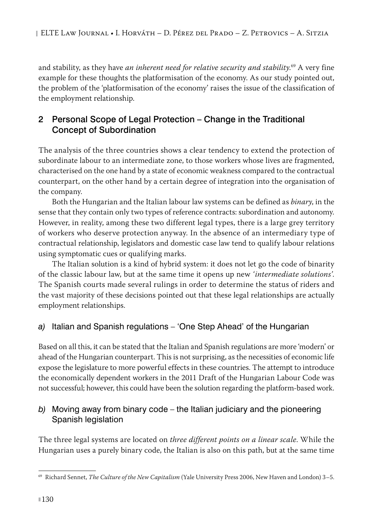and stability, as they have *an inherent need for relative security and stability*. 69 A very fine example for these thoughts the platformisation of the economy. As our study pointed out, the problem of the 'platformisation of the economy' raises the issue of the classification of the employment relationship.

# 2 Personal Scope of Legal Protection – Change in the Traditional Concept of Subordination

The analysis of the three countries shows a clear tendency to extend the protection of subordinate labour to an intermediate zone, to those workers whose lives are fragmented, characterised on the one hand by a state of economic weakness compared to the contractual counterpart, on the other hand by a certain degree of integration into the organisation of the company.

Both the Hungarian and the Italian labour law systems can be defined as *binary*, in the sense that they contain only two types of reference contracts: subordination and autonomy. However, in reality, among these two different legal types, there is a large grey territory of workers who deserve protection anyway. In the absence of an intermediary type of contractual relationship, legislators and domestic case law tend to qualify labour relations using symptomatic cues or qualifying marks.

The Italian solution is a kind of hybrid system: it does not let go the code of binarity of the classic labour law, but at the same time it opens up new *'intermediate solutions'*. The Spanish courts made several rulings in order to determine the status of riders and the vast majority of these decisions pointed out that these legal relationships are actually employment relationships.

# *a)* Italian and Spanish regulations – 'One Step Ahead' of the Hungarian

Based on all this, it can be stated that the Italian and Spanish regulations are more 'modern' or ahead of the Hungarian counterpart. This is not surprising, as the necessities of economic life expose the legislature to more powerful effects in these countries. The attempt to introduce the economically dependent workers in the 2011 Draft of the Hungarian Labour Code was not successful; however, this could have been the solution regarding the platform-based work.

#### *b)* Moving away from binary code – the Italian judiciary and the pioneering Spanish legislation

The three legal systems are located on *three different points on a linear scale*. While the Hungarian uses a purely binary code, the Italian is also on this path, but at the same time

<sup>69</sup> Richard Sennet, *The Culture of the New Capitalism* (Yale University Press 2006, New Haven and London) 3–5.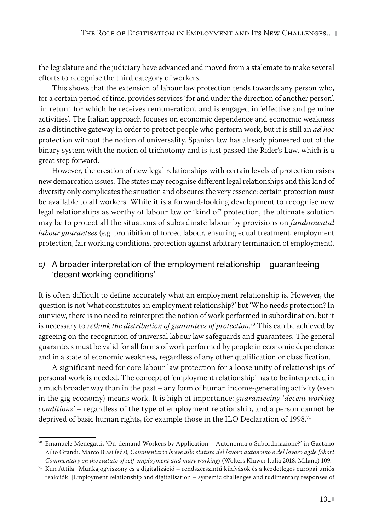the legislature and the judiciary have advanced and moved from a stalemate to make several efforts to recognise the third category of workers.

This shows that the extension of labour law protection tends towards any person who, for a certain period of time, provides services 'for and under the direction of another person', 'in return for which he receives remuneration', and is engaged in 'effective and genuine activities'. The Italian approach focuses on economic dependence and economic weakness as a distinctive gateway in order to protect people who perform work, but it is still an *ad hoc* protection without the notion of universality. Spanish law has already pioneered out of the binary system with the notion of trichotomy and is just passed the Rider's Law, which is a great step forward.

However, the creation of new legal relationships with certain levels of protection raises new demarcation issues. The states may recognise different legal relationships and this kind of diversity only complicates the situation and obscures the very essence: certain protection must be available to all workers. While it is a forward-looking development to recognise new legal relationships as worthy of labour law or 'kind of' protection, the ultimate solution may be to protect all the situations of subordinate labour by provisions on *fundamental labour guarantees* (e.g. prohibition of forced labour, ensuring equal treatment, employment protection, fair working conditions, protection against arbitrary termination of employment).

#### *c)* A broader interpretation of the employment relationship – guaranteeing 'decent working conditions'

It is often difficult to define accurately what an employment relationship is. However, the question is not 'what constitutes an employment relationship?' but 'Who needs protection? In our view, there is no need to reinterpret the notion of work performed in subordination, but it is necessary to *rethink the distribution of guarantees of protection*. 70 This can be achieved by agreeing on the recognition of universal labour law safeguards and guarantees. The general guarantees must be valid for all forms of work performed by people in economic dependence and in a state of economic weakness, regardless of any other qualification or classification.

A significant need for core labour law protection for a loose unity of relationships of personal work is needed. The concept of 'employment relationship' has to be interpreted in a much broader way than in the past – any form of human income-generating activity (even in the gig economy) means work. It is high of importance: *guaranteeing 'decent working conditions'* – regardless of the type of employment relationship, and a person cannot be deprived of basic human rights, for example those in the ILO Declaration of 1998.<sup>71</sup>

 $70$  Emanuele Menegatti, 'On-demand Workers by Application – Autonomia o Subordinazione?' in Gaetano Zilio Grandi, Marco Biasi (eds), *Commentario breve allo statuto del lavoro autonomo e del lavoro agile [Short Commentary on the statute of self-employment and mart working]* (Wolters Kluwer Italia 2018, Milano) 109.

 $^{71}$  Kun Attila, 'Munkajogviszony és a digitalizáció – rendszerszintű kihívások és a kezdetleges európai uniós reakciók' [Employment relationship and digitalisation – systemic challenges and rudimentary responses of